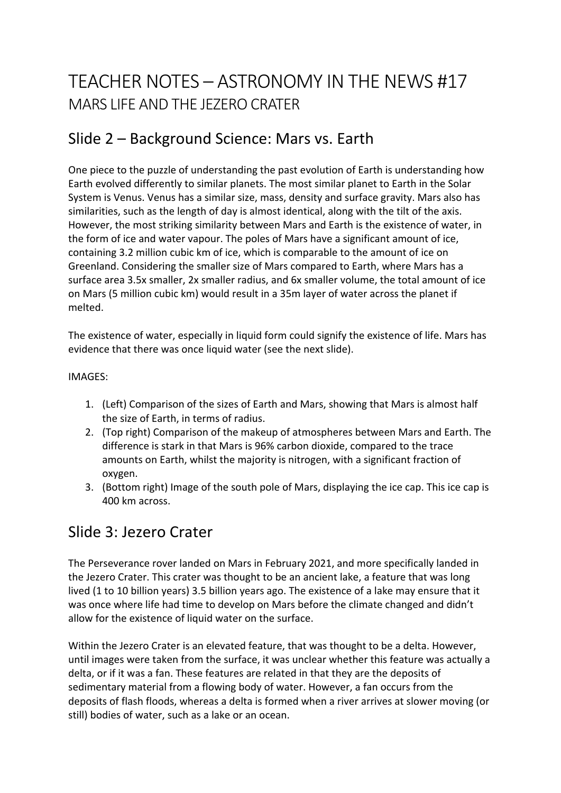# TEACHER NOTES – ASTRONOMY IN THE NEWS #17 MARS LIFE AND THE JEZERO CRATER

# Slide 2 – Background Science: Mars vs. Earth

One piece to the puzzle of understanding the past evolution of Earth is understanding how Earth evolved differently to similar planets. The most similar planet to Earth in the Solar System is Venus. Venus has a similar size, mass, density and surface gravity. Mars also has similarities, such as the length of day is almost identical, along with the tilt of the axis. However, the most striking similarity between Mars and Earth is the existence of water, in the form of ice and water vapour. The poles of Mars have a significant amount of ice, containing 3.2 million cubic km of ice, which is comparable to the amount of ice on Greenland. Considering the smaller size of Mars compared to Earth, where Mars has a surface area 3.5x smaller, 2x smaller radius, and 6x smaller volume, the total amount of ice on Mars (5 million cubic km) would result in a 35m layer of water across the planet if melted.

The existence of water, especially in liquid form could signify the existence of life. Mars has evidence that there was once liquid water (see the next slide).

#### IMAGES:

- 1. (Left) Comparison of the sizes of Earth and Mars, showing that Mars is almost half the size of Earth, in terms of radius.
- 2. (Top right) Comparison of the makeup of atmospheres between Mars and Earth. The difference is stark in that Mars is 96% carbon dioxide, compared to the trace amounts on Earth, whilst the majority is nitrogen, with a significant fraction of oxygen.
- 3. (Bottom right) Image of the south pole of Mars, displaying the ice cap. This ice cap is 400 km across.

### Slide 3: Jezero Crater

The Perseverance rover landed on Mars in February 2021, and more specifically landed in the Jezero Crater. This crater was thought to be an ancient lake, a feature that was long lived (1 to 10 billion years) 3.5 billion years ago. The existence of a lake may ensure that it was once where life had time to develop on Mars before the climate changed and didn't allow for the existence of liquid water on the surface.

Within the Jezero Crater is an elevated feature, that was thought to be a delta. However, until images were taken from the surface, it was unclear whether this feature was actually a delta, or if it was a fan. These features are related in that they are the deposits of sedimentary material from a flowing body of water. However, a fan occurs from the deposits of flash floods, whereas a delta is formed when a river arrives at slower moving (or still) bodies of water, such as a lake or an ocean.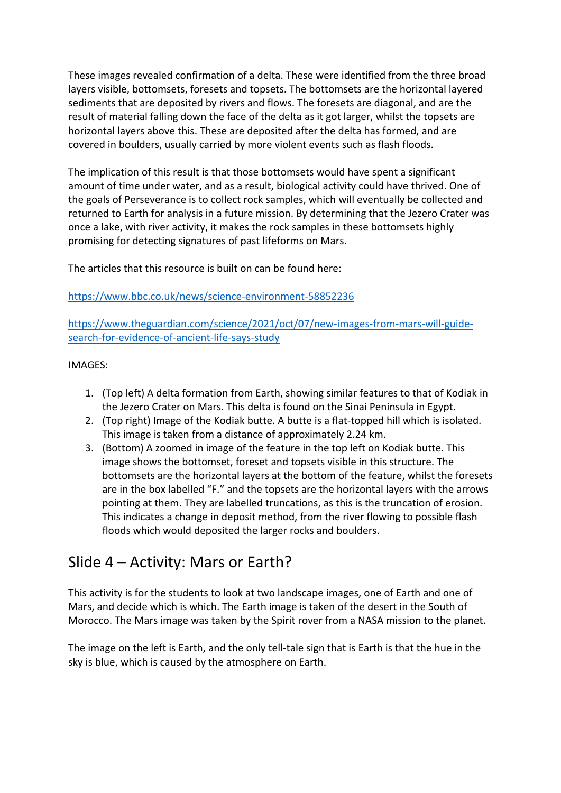These images revealed confirmation of a delta. These were identified from the three broad layers visible, bottomsets, foresets and topsets. The bottomsets are the horizontal layered sediments that are deposited by rivers and flows. The foresets are diagonal, and are the result of material falling down the face of the delta as it got larger, whilst the topsets are horizontal layers above this. These are deposited after the delta has formed, and are covered in boulders, usually carried by more violent events such as flash floods.

The implication of this result is that those bottomsets would have spent a significant amount of time under water, and as a result, biological activity could have thrived. One of the goals of Perseverance is to collect rock samples, which will eventually be collected and returned to Earth for analysis in a future mission. By determining that the Jezero Crater was once a lake, with river activity, it makes the rock samples in these bottomsets highly promising for detecting signatures of past lifeforms on Mars.

The articles that this resource is built on can be found here:

### https://www.bbc.co.uk/news/science-environment-58852236

https://www.theguardian.com/science/2021/oct/07/new-images-from-mars-will-guidesearch-for-evidence-of-ancient-life-says-study

IMAGES:

- 1. (Top left) A delta formation from Earth, showing similar features to that of Kodiak in the Jezero Crater on Mars. This delta is found on the Sinai Peninsula in Egypt.
- 2. (Top right) Image of the Kodiak butte. A butte is a flat-topped hill which is isolated. This image is taken from a distance of approximately 2.24 km.
- 3. (Bottom) A zoomed in image of the feature in the top left on Kodiak butte. This image shows the bottomset, foreset and topsets visible in this structure. The bottomsets are the horizontal layers at the bottom of the feature, whilst the foresets are in the box labelled "F." and the topsets are the horizontal layers with the arrows pointing at them. They are labelled truncations, as this is the truncation of erosion. This indicates a change in deposit method, from the river flowing to possible flash floods which would deposited the larger rocks and boulders.

## Slide 4 – Activity: Mars or Earth?

This activity is for the students to look at two landscape images, one of Earth and one of Mars, and decide which is which. The Earth image is taken of the desert in the South of Morocco. The Mars image was taken by the Spirit rover from a NASA mission to the planet.

The image on the left is Earth, and the only tell-tale sign that is Earth is that the hue in the sky is blue, which is caused by the atmosphere on Earth.